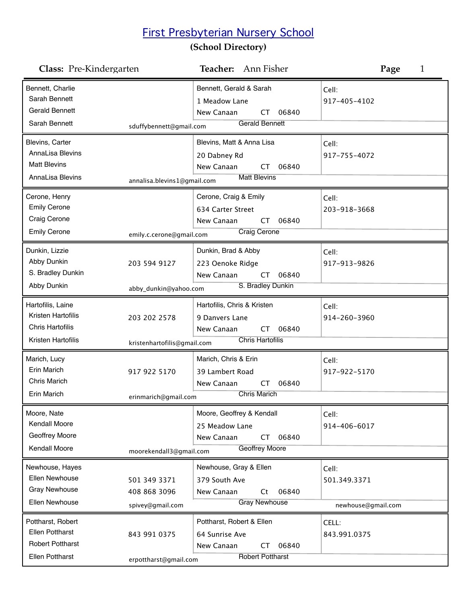## First Presbyterian Nursery School

## **(School Directory)**

| Class: Pre-Kindergarten                                                                          |                                                  | <b>Teacher:</b> Ann Fisher                                                                                   | Page<br>1                                   |
|--------------------------------------------------------------------------------------------------|--------------------------------------------------|--------------------------------------------------------------------------------------------------------------|---------------------------------------------|
| Bennett, Charlie<br>Sarah Bennett<br><b>Gerald Bennett</b><br>Sarah Bennett                      | sduffybennett@gmail.com                          | Bennett, Gerald & Sarah<br>1 Meadow Lane<br>New Canaan<br>06840<br><b>CT</b><br><b>Gerald Bennett</b>        | Cell:<br>917-405-4102                       |
| Blevins, Carter<br>AnnaLisa Blevins<br><b>Matt Blevins</b><br>AnnaLisa Blevins                   | annalisa.blevins1@gmail.com                      | Blevins, Matt & Anna Lisa<br>20 Dabney Rd<br>New Canaan<br>06840<br>СT<br><b>Matt Blevins</b>                | Cell:<br>917-755-4072                       |
| Cerone, Henry<br><b>Emily Cerone</b><br>Craig Cerone<br><b>Emily Cerone</b>                      | emily.c.cerone@gmail.com                         | Cerone, Craig & Emily<br>634 Carter Street<br>New Canaan<br>06840<br>CT<br>Craig Cerone                      | Cell:<br>203-918-3668                       |
| Dunkin, Lizzie<br>Abby Dunkin<br>S. Bradley Dunkin<br>Abby Dunkin                                | 203 594 9127<br>abby_dunkin@yahoo.com            | Dunkin, Brad & Abby<br>223 Oenoke Ridge<br>New Canaan<br>06840<br><b>CT</b><br>S. Bradley Dunkin             | Cell:<br>917-913-9826                       |
| Hartofilis, Laine<br>Kristen Hartofilis<br><b>Chris Hartofilis</b><br>Kristen Hartofilis         | 203 202 2578<br>kristenhartofilis@gmail.com      | Hartofilis, Chris & Kristen<br>9 Danvers Lane<br>New Canaan<br>06840<br><b>CT</b><br><b>Chris Hartofilis</b> | Cell:<br>914-260-3960                       |
| Marich, Lucy<br><b>Erin Marich</b><br>Chris Marich<br>Erin Marich                                | 917 922 5170<br>erinmarich@gmail.com             | Marich, Chris & Erin<br>39 Lambert Road<br>New Canaan<br>06840<br>СT<br><b>Chris Marich</b>                  | Cell:<br>917-922-5170                       |
| Moore, Nate<br>Kendall Moore<br>Geoffrey Moore<br>Kendall Moore                                  | moorekendall3@gmail.com                          | Moore, Geoffrey & Kendall<br>25 Meadow Lane<br>06840<br>New Canaan<br><b>CT</b><br><b>Geoffrey Moore</b>     | Cell:<br>914-406-6017                       |
| Newhouse, Hayes<br><b>Ellen Newhouse</b><br><b>Gray Newhouse</b><br>Ellen Newhouse               | 501 349 3371<br>408 868 3096<br>spivey@gmail.com | Newhouse, Gray & Ellen<br>379 South Ave<br>New Canaan<br>06840<br>Ct<br><b>Gray Newhouse</b>                 | Cell:<br>501.349.3371<br>newhouse@gmail.com |
| Pottharst, Robert<br><b>Ellen Pottharst</b><br><b>Robert Pottharst</b><br><b>Ellen Pottharst</b> | 843 991 0375<br>erpottharst@gmail.com            | Pottharst, Robert & Ellen<br>64 Sunrise Ave<br>06840<br>New Canaan<br>CT<br><b>Robert Pottharst</b>          | CELL:<br>843.991.0375                       |